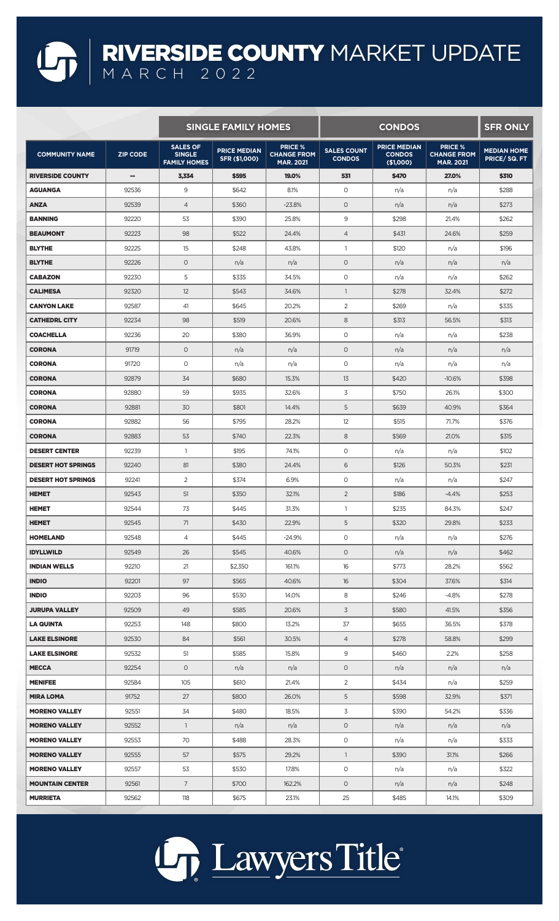## RIVERSIDE COUNTY MARKET UPDATE MARCH 2022

|                           |                 | <b>SINGLE FAMILY HOMES</b>                              |                                      |                                                          | <b>CONDOS</b>                       |                                                   |                                                          | <b>SFR ONLY</b>                   |
|---------------------------|-----------------|---------------------------------------------------------|--------------------------------------|----------------------------------------------------------|-------------------------------------|---------------------------------------------------|----------------------------------------------------------|-----------------------------------|
| <b>COMMUNITY NAME</b>     | <b>ZIP CODE</b> | <b>SALES OF</b><br><b>SINGLE</b><br><b>FAMILY HOMES</b> | <b>PRICE MEDIAN</b><br>SFR (\$1,000) | <b>PRICE %</b><br><b>CHANGE FROM</b><br><b>MAR. 2021</b> | <b>SALES COUNT</b><br><b>CONDOS</b> | <b>PRICE MEDIAN</b><br><b>CONDOS</b><br>(\$1,000) | <b>PRICE %</b><br><b>CHANGE FROM</b><br><b>MAR. 2021</b> | <b>MEDIAN HOME</b><br>PRICE/SQ.FT |
| <b>RIVERSIDE COUNTY</b>   | $\qquad \qquad$ | 3,334                                                   | \$595                                | 19,0%                                                    | 531                                 | \$470                                             | 27.0%                                                    | <b>\$310</b>                      |
| AGUANGA                   | 92536           | 9                                                       | \$642                                | 8.1%                                                     | 0                                   | n/a                                               | n/a                                                      | \$288                             |
| <b>ANZA</b>               | 92539           | $\overline{4}$                                          | \$360                                | $-23.8%$                                                 | $\circ$                             | n/a                                               | n/a                                                      | \$273                             |
| <b>BANNING</b>            | 92220           | 53                                                      | \$390                                | 25.8%                                                    | 9                                   | \$298                                             | 21.4%                                                    | \$262                             |
| <b>BEAUMONT</b>           | 92223           | 98                                                      | \$522                                | 24.4%                                                    | $\overline{4}$                      | \$431                                             | 24.6%                                                    | \$259                             |
| <b>BLYTHE</b>             | 92225           | 15                                                      | \$248                                | 43.8%                                                    | $\overline{1}$                      | \$120                                             | n/a                                                      | \$196                             |
| <b>BLYTHE</b>             | 92226           | $\circ$                                                 | n/a                                  | n/a                                                      | $\circ$                             | n/a                                               | n/a                                                      | n/a                               |
| <b>CABAZON</b>            | 92230           | 5                                                       | \$335                                | 34.5%                                                    | O                                   | n/a                                               | n/a                                                      | \$262                             |
| <b>CALIMESA</b>           | 92320           | 12                                                      | \$543                                | 34.6%                                                    | $\overline{1}$                      | \$278                                             | 32.4%                                                    | \$272                             |
| <b>CANYON LAKE</b>        | 92587           | 41                                                      | \$645                                | 20.2%                                                    | $\overline{2}$                      | \$269                                             | n/a                                                      | \$335                             |
| <b>CATHEDRL CITY</b>      | 92234           | 98                                                      | \$519                                | 20.6%                                                    | 8                                   | \$313                                             | 56.5%                                                    | \$313                             |
| <b>COACHELLA</b>          | 92236           | 20                                                      | \$380                                | 36.9%                                                    | $\circ$                             | n/a                                               | n/a                                                      | \$238                             |
| <b>CORONA</b>             | 91719           | $\circ$                                                 | n/a                                  | n/a                                                      | $\circ$                             | n/a                                               | n/a                                                      | n/a                               |
| <b>CORONA</b>             | 91720           | $\circ$                                                 | n/a                                  | n/a                                                      | $\circ$                             | n/a                                               | n/a                                                      | n/a                               |
| <b>CORONA</b>             | 92879           | 34                                                      | \$680                                | 15.3%                                                    | 13                                  | \$420                                             | $-10.6%$                                                 | \$398                             |
| <b>CORONA</b>             | 92880           | 59                                                      | \$935                                | 32.6%                                                    | 3                                   | \$750                                             | 26.1%                                                    | \$300                             |
| <b>CORONA</b>             | 92881           | 30                                                      | \$801                                | 14.4%                                                    | 5                                   | \$639                                             | 40.9%                                                    | \$364                             |
| <b>CORONA</b>             | 92882           | 56                                                      | \$795                                | 28.2%                                                    | 12                                  | \$515                                             | 71.7%                                                    | \$376                             |
| <b>CORONA</b>             | 92883           | 53                                                      | \$740                                | 22.3%                                                    | 8                                   | \$569                                             | 21.0%                                                    | \$315                             |
| <b>DESERT CENTER</b>      | 92239           | $\mathbf{1}$                                            | \$195                                | 74.1%                                                    | $\circ$                             | n/a                                               | n/a                                                      | \$102                             |
| <b>DESERT HOT SPRINGS</b> | 92240           | 81                                                      | \$380                                | 24.4%                                                    | 6                                   | \$126                                             | 50.3%                                                    | \$231                             |
| <b>DESERT HOT SPRINGS</b> | 92241           | 2                                                       | \$374                                | 6.9%                                                     | $\circ$                             | n/a                                               | n/a                                                      | \$247                             |
| <b>HEMET</b>              | 92543           | 51                                                      | \$350                                | 32.1%                                                    | 2                                   | \$186                                             | $-4.4%$                                                  | \$253                             |
| <b>HEMET</b>              | 92544           | 73                                                      | \$445                                | 31.3%                                                    | $\mathbf{1}$                        | \$235                                             | 84.3%                                                    | \$247                             |
| <b>HEMET</b>              | 92545           | 71                                                      | \$430                                | 22.9%                                                    | 5                                   | \$320                                             | 29.8%                                                    | \$233                             |
| <b>HOMELAND</b>           | 92548           | $\overline{4}$                                          | \$445                                | $-24.9%$                                                 | $\circ$                             | n/a                                               | n/a                                                      | \$276                             |
| <b>IDYLLWILD</b>          | 92549           | 26                                                      | \$545                                | 40.6%                                                    | $\circ$                             |                                                   |                                                          | \$462                             |
|                           |                 |                                                         |                                      |                                                          |                                     | n/a                                               | n/a                                                      |                                   |
| <b>INDIAN WELLS</b>       | 92210           | 21                                                      | \$2,350                              | 161.1%                                                   | 16                                  | \$773                                             | 28.2%                                                    | \$562                             |
| <b>INDIO</b>              | 92201           | 97                                                      | \$565<br>\$530                       | 40.6%                                                    | 16<br>8                             | \$304                                             | 37.6%                                                    | \$314                             |
| <b>INDIO</b>              | 92203           | 96                                                      |                                      | 14.0%                                                    |                                     | \$246                                             | $-4.8%$                                                  | \$278                             |
| <b>JURUPA VALLEY</b>      | 92509           | 49                                                      | \$585                                | 20.6%                                                    | $\overline{3}$                      | \$580                                             | 41.5%                                                    | \$356                             |
| <b>LA QUINTA</b>          | 92253           | 148                                                     | \$800                                | 13.2%                                                    | 37                                  | \$655                                             | 36.5%                                                    | \$378                             |
| <b>LAKE ELSINORE</b>      | 92530           | 84                                                      | \$561                                | 30.5%                                                    | $\overline{4}$                      | \$278                                             | 58.8%                                                    | \$299                             |
| <b>LAKE ELSINORE</b>      | 92532           | 51                                                      | \$585                                | 15.8%                                                    | 9                                   | \$460                                             | 2.2%                                                     | \$258                             |
| <b>MECCA</b>              | 92254           | $\circ$                                                 | n/a                                  | n/a                                                      | $\circ$                             | n/a                                               | n/a                                                      | n/a                               |
| <b>MENIFEE</b>            | 92584           | 105                                                     | \$610                                | 21.4%                                                    | $\overline{2}$                      | \$434                                             | n/a                                                      | \$259                             |
| <b>MIRA LOMA</b>          | 91752           | 27                                                      | \$800                                | 26.0%                                                    | 5                                   | \$598                                             | 32.9%                                                    | \$371                             |
| <b>MORENO VALLEY</b>      | 92551           | 34                                                      | \$480                                | 18.5%                                                    | $\overline{3}$                      | \$390                                             | 54.2%                                                    | \$336                             |
| <b>MORENO VALLEY</b>      | 92552           | $\mathbf{1}$                                            | n/a                                  | n/a                                                      | $\circ$                             | n/a                                               | n/a                                                      | n/a                               |
| <b>MORENO VALLEY</b>      | 92553           | 70                                                      | \$488                                | 28.3%                                                    | $\circ$                             | n/a                                               | n/a                                                      | \$333                             |
| <b>MORENO VALLEY</b>      | 92555           | 57                                                      | \$575                                | 29.2%                                                    | $\mathbf{1}$                        | \$390                                             | 31.1%                                                    | \$266                             |
| <b>MORENO VALLEY</b>      | 92557           | 53                                                      | \$530                                | 17.8%                                                    | $\circ$                             | n/a                                               | n/a                                                      | \$322                             |
| <b>MOUNTAIN CENTER</b>    | 92561           | $7\overline{ }$                                         | \$700                                | 162.2%                                                   | $\circ$                             | n/a                                               | n/a                                                      | \$248                             |
| <b>MURRIETA</b>           | 92562           | 118                                                     | \$675                                | 23.1%                                                    | 25                                  | \$485                                             | 14.1%                                                    | \$309                             |